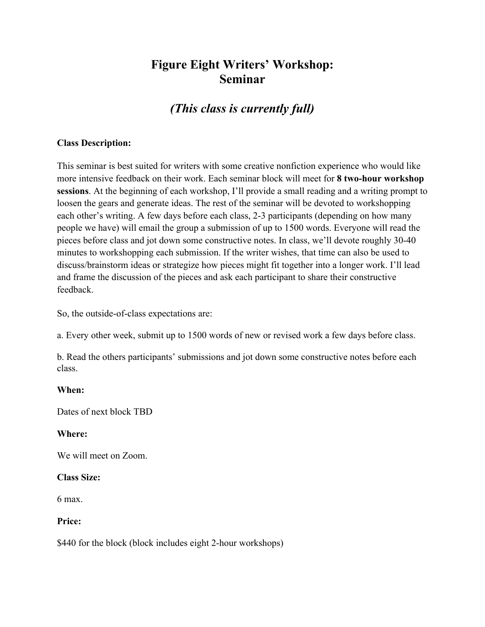## **Figure Eight Writers' Workshop: Seminar**

# *(This class is currently full)*

### **Class Description:**

This seminar is best suited for writers with some creative nonfiction experience who would like more intensive feedback on their work. Each seminar block will meet for **8 two-hour workshop sessions**. At the beginning of each workshop, I'll provide a small reading and a writing prompt to loosen the gears and generate ideas. The rest of the seminar will be devoted to workshopping each other's writing. A few days before each class, 2-3 participants (depending on how many people we have) will email the group a submission of up to 1500 words. Everyone will read the pieces before class and jot down some constructive notes. In class, we'll devote roughly 30-40 minutes to workshopping each submission. If the writer wishes, that time can also be used to discuss/brainstorm ideas or strategize how pieces might fit together into a longer work. I'll lead and frame the discussion of the pieces and ask each participant to share their constructive feedback.

So, the outside-of-class expectations are:

a. Every other week, submit up to 1500 words of new or revised work a few days before class.

b. Read the others participants' submissions and jot down some constructive notes before each class.

### **When:**

Dates of next block TBD

### **Where:**

We will meet on Zoom.

### **Class Size:**

6 max.

#### **Price:**

\$440 for the block (block includes eight 2-hour workshops)